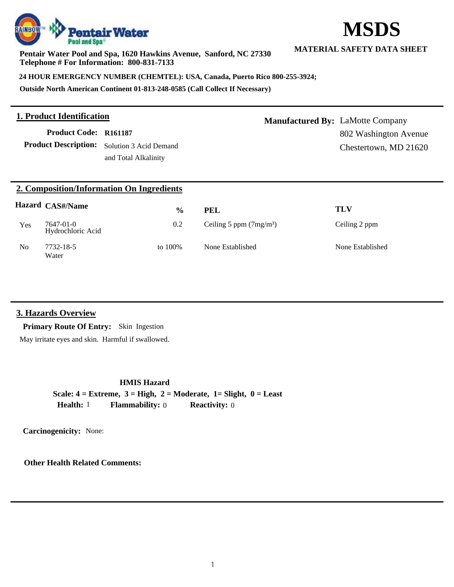#### **Pentair Water Pool and Spa, 1620 Hawkins Avenue, Sanford, NC 27330 Telephone # For Information: 800-831-7133**

**24 HOUR EMERGENCY NUMBER (CHEMTEL): USA, Canada, Puerto Rico 800-255-3924;**

**Outside North American Continent 01-813-248-0585 (Call Collect If Necessary)**

# **1. Product Identification**

**Product Code: R161187**

Product Description: Solution 3 Acid Demand and Total Alkalinity

**Manufactured By:** LaMotte Company 802 Washington Avenue Chestertown, MD 21620

|  | 2. Composition/Information On Ingredients |
|--|-------------------------------------------|
|  |                                           |

|     | <b>Hazard CAS#/Name</b>        | $\frac{0}{0}$ | <b>PEL</b>               | TLV              |
|-----|--------------------------------|---------------|--------------------------|------------------|
| Yes | 7647-01-0<br>Hydrochloric Acid | 0.2           | Ceiling 5 ppm $(7mg/m3)$ | Ceiling 2 ppm    |
| No  | 7732-18-5<br>Water             | to 100%       | None Established         | None Established |

### **3. Hazards Overview**

**Primary Route Of Entry:** Skin Ingestion

May irritate eyes and skin. Harmful if swallowed.

**HMIS Hazard**

**Scale: 4 = Extreme, 3 = High, 2 = Moderate, 1= Slight, 0 = Least Health:** 1 **Flammability:** 0 **Reactivity:** 0

**Carcinogenicity:** None:

**Other Health Related Comments:**



**MATERIAL SAFETY DATA SHEET**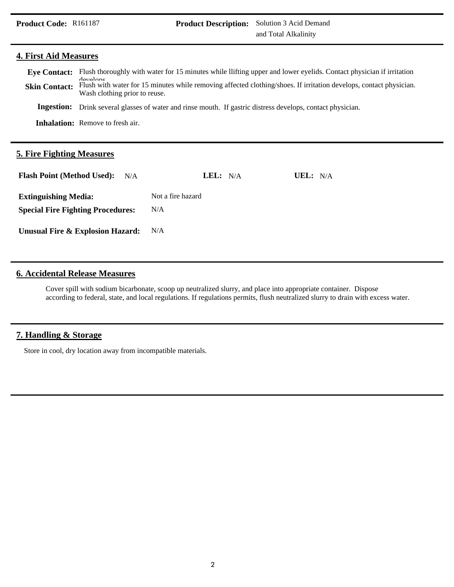#### **4. First Aid Measures**

| <b>Skin Contact:</b> | Eye Contact: Flush thoroughly with water for 15 minutes while llifting upper and lower eyelids. Contact physician if irritation<br>develope<br>Flush with water for 15 minutes while removing affected clothing/shoes. If irritation develops, contact physician.<br>Wash clothing prior to reuse. |
|----------------------|----------------------------------------------------------------------------------------------------------------------------------------------------------------------------------------------------------------------------------------------------------------------------------------------------|
|                      | <b>Ingestion:</b> Drink several glasses of water and rinse mouth. If gastric distress develops, contact physician.                                                                                                                                                                                 |
|                      | <b>Inhalation:</b> Remove to fresh air.                                                                                                                                                                                                                                                            |

### **5. Fire Fighting Measures**

| <b>Flash Point (Method Used):</b><br>N/A | LEL: $N/A$        | UEL: $N/A$ |
|------------------------------------------|-------------------|------------|
| <b>Extinguishing Media:</b>              | Not a fire hazard |            |
| <b>Special Fire Fighting Procedures:</b> | N/A               |            |
| Unusual Fire & Explosion Hazard:         | N/A               |            |

### **6. Accidental Release Measures**

Cover spill with sodium bicarbonate, scoop up neutralized slurry, and place into appropriate container. Dispose according to federal, state, and local regulations. If regulations permits, flush neutralized slurry to drain with excess water.

# **7. Handling & Storage**

Store in cool, dry location away from incompatible materials.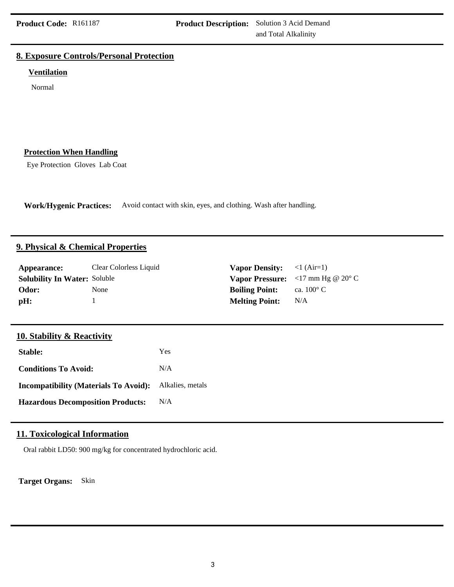### **8. Exposure Controls/Personal Protection**

#### **Ventilation**

Normal

#### **Protection When Handling**

Eye Protection Gloves Lab Coat

**Work/Hygenic Practices:** Avoid contact with skin, eyes, and clothing. Wash after handling.

### **9. Physical & Chemical Properties**

| Appearance:                         | Clear Colorless Liquid | <b>Vapor Density:</b> $\langle 1 \text{ (Air=1)} \rangle$ |                                                                                        |
|-------------------------------------|------------------------|-----------------------------------------------------------|----------------------------------------------------------------------------------------|
| <b>Solubility In Water: Soluble</b> |                        |                                                           | <b>Vapor Pressure:</b> $\langle 17 \text{ mm Hg} \otimes 20^{\circ} \text{ C} \rangle$ |
| Odor:                               | None                   | <b>Boiling Point:</b>                                     | ca. $100^{\circ}$ C                                                                    |
| pH:                                 |                        | <b>Melting Point:</b>                                     | N/A                                                                                    |

# **10. Stability & Reactivity**

| Stable:                                      | Yes              |
|----------------------------------------------|------------------|
| <b>Conditions To Avoid:</b>                  | N/A              |
| <b>Incompatibility (Materials To Avoid):</b> | Alkalies, metals |
| <b>Hazardous Decomposition Products:</b>     | N/A              |

# **11. Toxicological Information**

Oral rabbit LD50: 900 mg/kg for concentrated hydrochloric acid.

**Target Organs:** Skin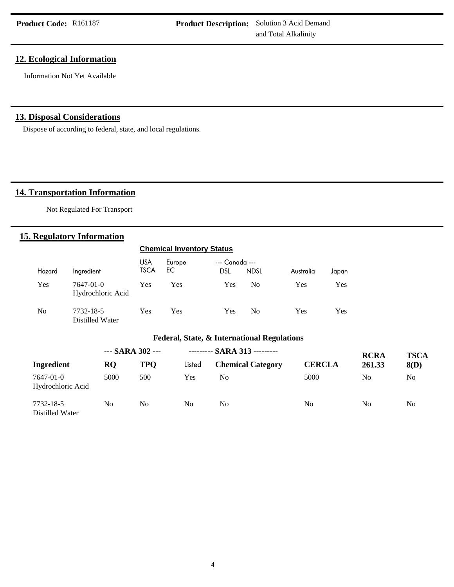### **12. Ecological Information**

Information Not Yet Available

### **13. Disposal Considerations**

Dispose of according to federal, state, and local regulations.

# **14. Transportation Information**

Not Regulated For Transport

### **15. Regulatory Information**

|                                             |                                | <b>Chemical Inventory Status</b> |               |                              |                |           |       |
|---------------------------------------------|--------------------------------|----------------------------------|---------------|------------------------------|----------------|-----------|-------|
| Hazard                                      | Ingredient                     | <b>USA</b><br><b>TSCA</b>        | Europe<br>EC. | --- Canada ---<br><b>DSL</b> | <b>NDSL</b>    | Australia | Japan |
| Yes                                         | 7647-01-0<br>Hydrochloric Acid | Yes                              | Yes           | Yes                          | N <sub>0</sub> | Yes       | Yes   |
| N <sub>0</sub>                              | 7732-18-5<br>Distilled Water   | Yes                              | Yes           | Yes                          | N <sub>0</sub> | Yes       | Yes   |
| Federal, State, & International Regulations |                                |                                  |               |                              |                |           |       |

|                                | --- SARA 302 --- |     |                | --------- SARA 313 --------- |                | <b>RCRA</b>    | <b>TSCA</b> |
|--------------------------------|------------------|-----|----------------|------------------------------|----------------|----------------|-------------|
| Ingredient                     | <b>RO</b>        | TPO | Listed         | <b>Chemical Category</b>     | <b>CERCLA</b>  | 261.33         | 8(D)        |
| 7647-01-0<br>Hydrochloric Acid | 5000             | 500 | Yes            | No.                          | 5000           | No             | No.         |
| 7732-18-5<br>Distilled Water   | No               | No  | N <sub>0</sub> | No.                          | N <sub>0</sub> | N <sub>0</sub> | No          |